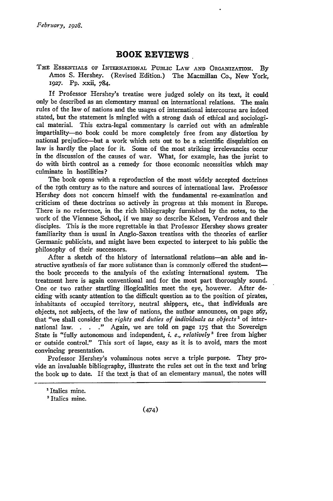## **BOOK REVIEWS.**

THE ESSENTIALS OF INTERNATIONAL PuBLIc LAW **AND** ORGANIZATION. By Amos S. Hershey. (Revised Edition.) The Macmillan Co., New York, *1927.* Pp. xxii, 784.

If Professor Hershey's treatise were judged solely on its text, it could only be described as an elementary manual on international relations. The main rules of the law of nations and the usages of international intercourse are indeed stated, but the statement is mingled with a strong dash of ethical and sociological material. This extra-legal commentary is carried out with an admirable impartiality-no book could be more completely free from any distortion **by** national prejudice-but a work which sets out to be a scientific disquisition on law is hardly the place for it. Some of the most striking irrelevancies occur in the discussion of the causes of war. What, for example, has the jurist to do with birth control as a remedy for those economic necessities which may culminate in hostilities?

The book opens with a reproduction of the most widely accepted doctrines of the 19th century as to the nature and sources of international law. Professor Hershey does not concern himself with the fundamental re-examination and criticism of these doctrines so actively in progress at this moment in Europe. There is no reference, in the rich bibliography furnished **by** the notes, to the work of the Viennese School, if we may so describe Kelsen, Verdross and their disciples. This is the more regrettable in that Professor Hershey shows greater familiarity than is usual in Anglo-Saxon treatises with the theories of earlier Germanic publicists, and might have been expected to interpret to his public the philosophy of their successors.

After a sketch of the history of international relations-an able and instructive synthesis of far more substance than is commonly offered the studentthe book proceeds to the analysis of the existing international system. The treatment here is again conventional and for the most part thoroughly sound. One or two rather startling illogicalities meet the eye, however. After deciding with scanty attention to the difficult question as to the position of pirates, inhabitants of occupied territory, neutral shippers, etc., that individuals are objects, not subjects, of the law of nations, the author announces, on page *267,* that "we shall consider the *rights and duties of individuals as objects'* of international law. **. . ."** Again, we are told on page 175 that the Sovereign State is "fully autonomous and independent, *i. e., relatively'* free from higher or outside control." This sort of lapse, easy as it is to avoid, mars the most convincing presentation.

Professor Hershey's voluminous notes serve a triple purpose. They provide an invaluable bibliography, illustrate the rules set out in the text and bring the book up to date. If the text is that of an elementary manual, the notes will

<sup>&</sup>lt;sup>1</sup> Italics mine.

<sup>&</sup>lt;sup>2</sup> Italics mine.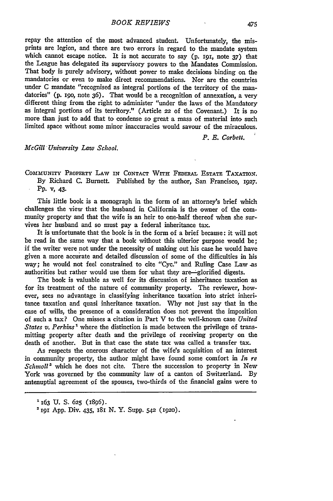repay the attention of the most advanced student. Unfortunately, the misprints are legion, and there are two errors in regard to the mandate system which cannot escape notice. It is not accurate to say **(p. 191,** note **37)** that the League has delegated its supervisory powers to the Mandates Commission. That body is purely advisory, without power to make decisions binding on the mandatories or even to make direct recommendations. Nor are the countries under C mandate "recognised as integral portions of the territory of the mandatories" **(p. 19o,** note **36).** That would be a recognition of annexation, a very different thing from the right to administer "under the laws of the Mandatory as integral portions of its territory." (Article **22** of the Covenant.) It is no more than just to add that to condense so great a mass of material into such limited space without some minor inaccuracies would savour of the miraculous.

*P. E. Corbett.*

## *McGill University Law School.*

**COMMUNITY PROPERTY LAW IN CONTACT WITH FEDERAL ESTATE TAXATION.** By Richard C. Burnett. Published **by** the author, San Francisco, 1927. PP. v, 43.

This little book is a monograph in the form of an attorney's brief which challenges the view that the husband in California is the owner of the community property and that the wife is an heir to one-half thereof when she survives her husband and so must pay a federal inheritance tax.

It is unfortunate that the book is in the form of a brief because: it will not be read in the same way that a book without this ulterior purpose would be; if the writer were not under the necessity of making out his case he would have given a more accurate and detailed discussion of some of the difficulties in his way; he would not feel constrained to cite "Cyc." and Ruling Case Law .as authorities but rather would use them for what they are—glorified digests.

The book is valuable as well for its discussion of inheritance taxation as for its treatment of the nature of community property. The reviewer, however, sees no advantage in classifying inheritance taxation into strict inheritance taxation and quasi inheritance taxation. Why not just say that in the case of wills, the presence of a consideration does not prevent the imposition of such a tax? One misses a citation in Part V to the well-known case *United States v. Perkins'* where the distinction is made between the privilege of transmitting property after death and the privilege of receiving property on the death of another. But in that case the state tax was called a transfer tax.

As respects the onerous character of the wife's acquisition of an interest in community property, the author might have found some comfort in *In re Schmoll<sup>2</sup>* which he does not cite. There the succession to property in New York was governed by the community law of a canton of Switzerland. By antenuptial agreement **of** the spouses, two-thirds of the financial gains were to

**<sup>163</sup> U. S.** 625 (1896).

**<sup>2191</sup> App.** Div. 435, i8I N. Y. Supp. **542 (1920).**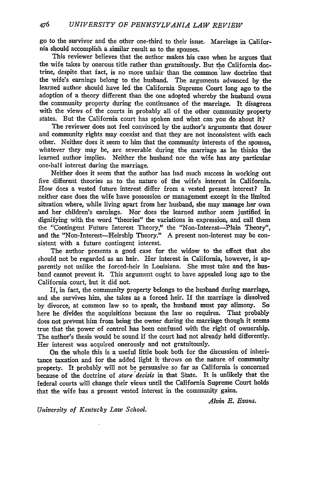go to the survivor and the other one-third to their issue. Marriage in California should accomplish a similar result as to the spouses.

This reviewer believes that the author makes his case when he argues that the wife takes by onerous title rather than gratuitously. But the California doctrine, despite that fact, is no more unfair than the common law doctrine that the wife's earnings belong to the husband. The arguments advanced by the learned author should have led the California Supreme Court long ago to the adoption of a theory different than the one adopted whereby the husband owns the community property during the continuance of the marriage. It disagrees with the views of the courts in probably all of the other community property states. But the California court has spoken and what can you do about it?

The reviewer does not feel convinced by the author's arguments that dower and community rights may coexist and that they are not inconsistent with each other. Neither does it seem to him that the community interests of the spouses, whatever they may be, are severable during the marriage as he thinks the learned author implies. Neither the husband nor the wife has any particular one-half interest during the marriage.

Neither does it seem that the author has had much success in working out five different theories as to the nature of the wife's interest in California. How does a vested future interest differ from a vested present interest? In neither case does the wife have possession or management except in the limited situation where, while living apart from her husband, she may manage her own and her children's earnings. Nor does the learned author seem justified in dignifying with the word "theories" the variations in expression, and call them the "Contingent Future Interest Theory," the "Non-Interest-Plain Theory", and the "Non-Interest-Heirship Theory." A present non-interest may be consistent with a future contingent interest.

The author presents a good case for the widow to the effect that she should not be regarded as an heir. Her interest in California, however, is apparently not unlike the forced-heir in Louisiana. She must take and the husband cannot prevent it. This argument ought to have appealed long ago to the California court, but it did not.

If, in fact, the community property belongs to the husband during marriage, and she survives him, she takes as a forced heir. If the marriage is dissolved by divorce, at common law so to speak, the husband must pay alimony. So here he divides the acquisitions because the law so requires. That probably does not prevent him from being the owner during the marriage though it seems true that the power of control has been confused with the right of ownership. The author's thesis would be sound if the court had not already held differently. Her interest was acquired onerously and not gratuitously.

On the whole this is a useful little book both for the discussion of inheritance taxation and for the added light it throws on the nature of community property. It probably will not be persuasive so far as California is concerned because of the doctrine of *stare decisis* in that State. It is unlikely that the federal courts will change their views until the California Supreme Court holds that the wife has a present vested interest in the community gains.

*Alvin E. Evans.*

*University of Kentucky Law School.*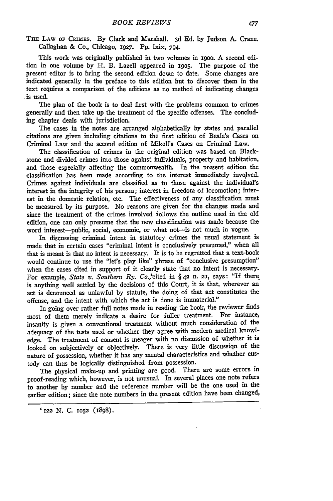**THE LAW** OF **CRImES. By** Clark and Marshall. **3d Ed. by** Judson **A.** Crane. Callaghan & Co., Chicago, **x9"27. Pp.** lxix, 794.

This work was originally published in two volumes in **19oo. A** second edition in one volume **by** H. B. Lazell appeared in **19o5.** The purpose of the present editor is to bring the second edition down to date. Some changes are indicated generally in the preface to this edition but to discover them in the text requires a comparison of the editions as no method of indicating changes is used.

The plan of the book is to deal first with the problems common to crimes generally and then take up the treatment of the specific offenses. The concluding chapter deals with jurisdiction.

The cases in the notes are arranged alphabetically **by** states and parallel citations are given including citations to the first edition of Beale's Cases on Criminal Law and the second edition of Mikell's Cases on Criminal Law.

The classification of crimes in the original edition was based on Blackstone and divided crimes into those against individuals, property and habitation, and those especially affecting the commonwealth. In the present edition the classification has been made according to the interest immediately involved. Crimes against individuals are classified as to those against the individual's interest in the integrity of his person; interest in freedom of locomotion; interest in the domestic relation, etc. The effectiveness of any classification must be measured by its purpose. No reasons are given for the changes made and since the treatment of the crimes involved follows the outline used in the old edition, one can only presume that the new classification was made because the word interest-public, social, economic, or what not-is not much in vogue.

In discussing criminal intent in statutory crimes the usual statement is made that in certain cases "criminal intent is conclusively presumed," when all that is meant is that no intent is necessary. It is to be regretted that a text-book would continue to use the "let's play like" phrase of "conclusive presumption" When the cases cited in support of it clearly state that no intent is necessary. For example, *State v. Southern Ry. Co.*, cited in § 42 n. 21, says: "If there is anything well settled **by** the decisions of this Court, it is that, wherever an act is denounced as unlawful **by** statute, the doing of that act constitutes the offense, and the intent with which the act is done is immaterial."

In going over rather full notes made in reading the book, the reviewer finds most of them merely indicate a desire for fuller treatment. For instance, insanity is given a conventional treatment without much consideration of the adequacy of the tests used or whether they agree with modern medical knowledge. The treatment of consent is meager with no discussion of whether it is looked on subjectively or objectively. There is very little discussiqn of the nature of possession, whether it has any mental characteristics and whether custody can thus be logically distinguished from possession.

The physical make-up and printing are good. There are some errors in proof-reading which, however, is not unusual. In several places one note refers to another **by** number and the reference number will be the one used in the earlier edition; since the note numbers in the present edition have been changed,

**1122 N. C. 1052** (1898).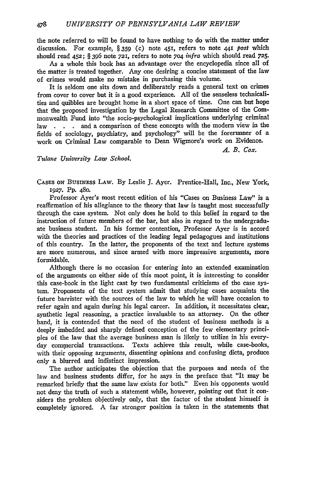the note referred to will be found to have nothing to do with the matter under discussion. For example, §359 (c) note 451, refers to note **441** *post* which should read 452; § **396** note **721,** refers to note 704 *infra* which should read **725.**

As a whole this book has an advantage over the encyclopedia since all of the matter is treated together. Any one desiring a concise statement of the law of crimes would make no mistake in purchasing this volume.

It is seldom one sits down and deliberately reads a general text on crimes from cover to cover but it is a good experience. All of the senseless technicalities and quibbles are brought home in a short space of time. One can but hope that the proposed investigation by the Legal Research Committee of the Commonwealth Fund into "the socio-psychological implications underlying criminal law **. .** . and a comparison of these concepts with the modem view in the fields of sociology, psychiatry, and psychology" will be the forerunner of a work on Criminal Law comparable to Dean Wigmore's work on Evidence.

*A. B. Cox.*

## *Tudane University Law School.*

**CASES ON BUSINESS** LAW. By Leslie **J.** Ayer. Prentice-Hall, Inc., New York, *1927.* Pp. 480.

Professor Ayer's most recent edition of his "Cases on Business Law" is a reaffirmation of his allegiance to the theory that law is taught most successfully through the case system. Not only does he hold to this belief in regard to the instruction of future members of the bar, but also in regard to the undergraduate business student. In his former contention, Professor Ayer is in accord with the theories and practices of the leading legal pedagogues and institutions of this country. In the latter, the proponents of the text and lecture systems are more numerous, and since armed with more impressive arguments, more formidable.

Although there is no occasion for entering into an extended examination of the arguments on either side of this moot point, it is interesting to consider this case-book in the light cast **by** two fundamental criticisms of the case system. Proponents of the text system admit that studying cases acquaints the future barrister with the sources of the law to which he will have occasion to refer again and again during his legal career. In addition, it necessitates clear, synthetic legal reasoning, a practice invaluable to an attorney. On the other hand, it is contended that the need of the student of business methods is a deeply imbedded and sharply defined conception of the few elementary principles of the law that the average business man is likely to utilize in his everyday commercial transactions. Texts achieve this result, while case-books, with their opposing arguments, dissenting opinions and confusing dicta, produce only a blurred and indistinct impression.

The author anticipates the objection that the purposes and needs of the law and business students differ, for he says in the preface that "It may be remarked briefly that the same law exists for both." Even his opponents would not deny the truth of such a statement while, however, pointing out that it considers the problem objectively only, that the factor of the student himself is completely ignored. **A** far stronger position is taken in the statements that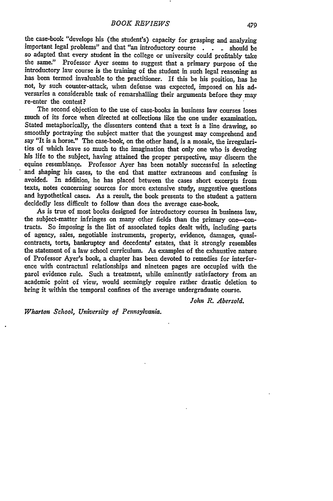the case-book "develops his (the student's) capacity for grasping and analyzing important legal problems" and that "an introductory course **. .** should be so adapted that every student in the college or university could profitably take the same." Professor Ayer seems to suggest that a primary purpose of the introductory law course is the training of the student in such legal reasoning as has been termed invaluable to the practitioner. If this be his position, has he not, by such counter-attack, when defense was expected, imposed on his adversaries a considerable task of remarshalling their arguments before they may re-enter the contest?

The second objection to the use of case-books in business law courses loses much of its force when directed at collections like the one under examination. Stated metaphorically, the dissenters contend that a text is a line drawing, so smoothly portraying the subject matter that the youngest may comprehend and say "It is a horse." The case-book, on the other hand, is a mosaic, the irregularities of which leave so much to the imagination that only one who is devoting his life to the subject, having attained the proper perspective, may discern the equine resemblance. Professor Ayer has been notably successful in selecting and shaping his cases, to the end that matter extraneous and confusing is avoided. In addition, he has placed between the cases short excerpts from texts, notes concerning sources for more extensive study, suggestive questions and hypothetical cases. As a result, the book presents to the student a pattern decidedly less difficult to follow than does the average case-book.

As is true of most books designed for introductory courses in business law, the subject-matter infringes on many other fields than the primary one-contracts. So imposing is the list of associated topics dealt with, including parts of agency, sales, negotiable instruments, property, evidence, damages, quasicontracts, torts, bankruptcy and decedents' estates, that it strongly resembles the statement of a law school curriculum. As examples of the exhaustive nature of Professor Ayer's book, a chapter has been devoted to remedies for interfer- ence with contractual relationships and nineteen pages are occupied with the parol evidence rule. Such a treatment, while eminently satisfactory from an academic point of view, would seemingly require rather drastic deletion to bring it within the temporal confines of the average undergraduate course.

*John R. Abersold.*

*Wharton School, University of Pennsylvania.*